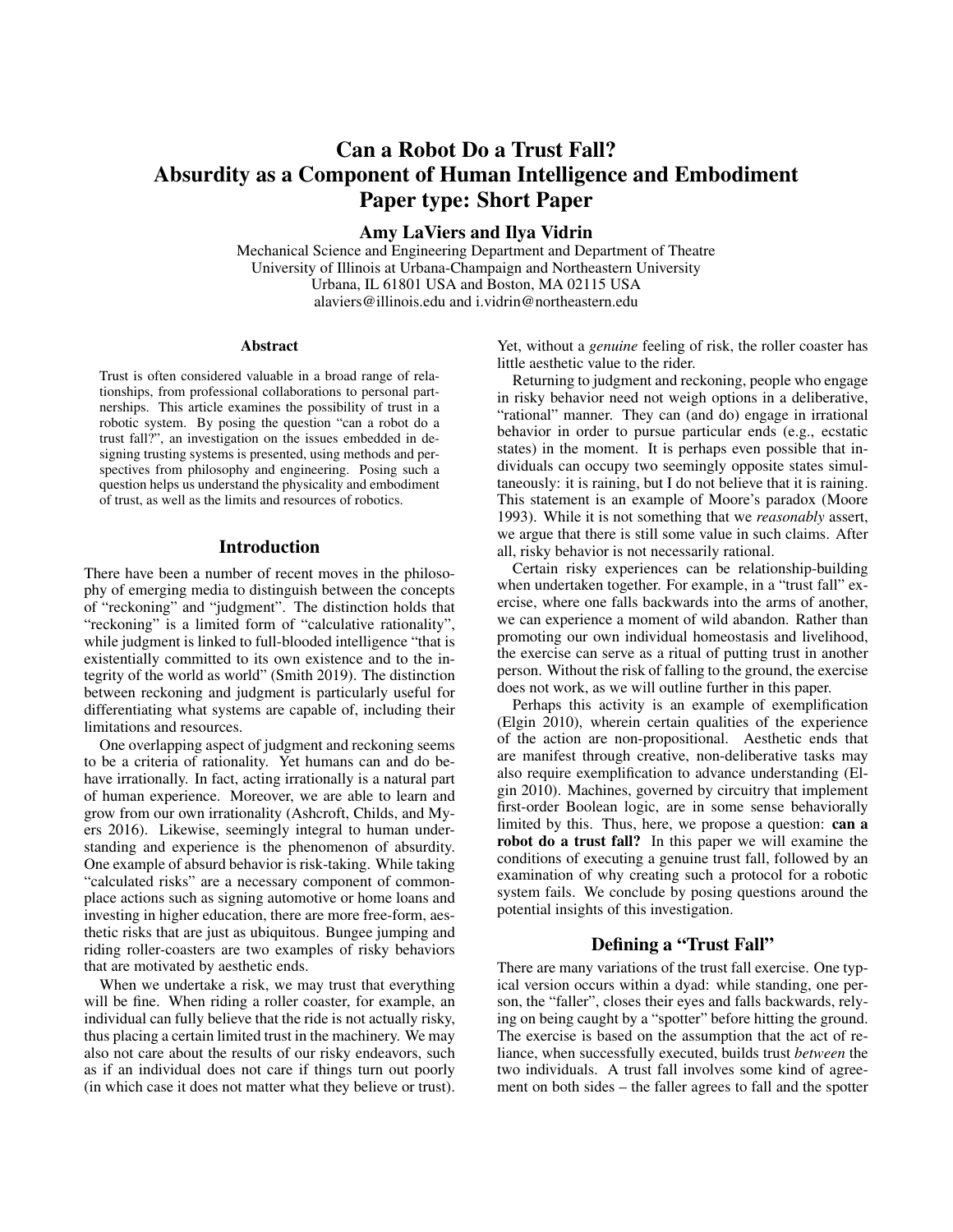# Can a Robot Do a Trust Fall? Absurdity as a Component of Human Intelligence and Embodiment Paper type: Short Paper

Amy LaViers and Ilya Vidrin

Mechanical Science and Engineering Department and Department of Theatre University of Illinois at Urbana-Champaign and Northeastern University Urbana, IL 61801 USA and Boston, MA 02115 USA alaviers@illinois.edu and i.vidrin@northeastern.edu

#### Abstract

Trust is often considered valuable in a broad range of relationships, from professional collaborations to personal partnerships. This article examines the possibility of trust in a robotic system. By posing the question "can a robot do a trust fall?", an investigation on the issues embedded in designing trusting systems is presented, using methods and perspectives from philosophy and engineering. Posing such a question helps us understand the physicality and embodiment of trust, as well as the limits and resources of robotics.

## **Introduction**

There have been a number of recent moves in the philosophy of emerging media to distinguish between the concepts of "reckoning" and "judgment". The distinction holds that "reckoning" is a limited form of "calculative rationality", while judgment is linked to full-blooded intelligence "that is existentially committed to its own existence and to the integrity of the world as world" (Smith 2019). The distinction between reckoning and judgment is particularly useful for differentiating what systems are capable of, including their limitations and resources.

One overlapping aspect of judgment and reckoning seems to be a criteria of rationality. Yet humans can and do behave irrationally. In fact, acting irrationally is a natural part of human experience. Moreover, we are able to learn and grow from our own irrationality (Ashcroft, Childs, and Myers 2016). Likewise, seemingly integral to human understanding and experience is the phenomenon of absurdity. One example of absurd behavior is risk-taking. While taking "calculated risks" are a necessary component of commonplace actions such as signing automotive or home loans and investing in higher education, there are more free-form, aesthetic risks that are just as ubiquitous. Bungee jumping and riding roller-coasters are two examples of risky behaviors that are motivated by aesthetic ends.

When we undertake a risk, we may trust that everything will be fine. When riding a roller coaster, for example, an individual can fully believe that the ride is not actually risky, thus placing a certain limited trust in the machinery. We may also not care about the results of our risky endeavors, such as if an individual does not care if things turn out poorly (in which case it does not matter what they believe or trust).

Yet, without a *genuine* feeling of risk, the roller coaster has little aesthetic value to the rider.

Returning to judgment and reckoning, people who engage in risky behavior need not weigh options in a deliberative, "rational" manner. They can (and do) engage in irrational behavior in order to pursue particular ends (e.g., ecstatic states) in the moment. It is perhaps even possible that individuals can occupy two seemingly opposite states simultaneously: it is raining, but I do not believe that it is raining. This statement is an example of Moore's paradox (Moore 1993). While it is not something that we *reasonably* assert, we argue that there is still some value in such claims. After all, risky behavior is not necessarily rational.

Certain risky experiences can be relationship-building when undertaken together. For example, in a "trust fall" exercise, where one falls backwards into the arms of another, we can experience a moment of wild abandon. Rather than promoting our own individual homeostasis and livelihood, the exercise can serve as a ritual of putting trust in another person. Without the risk of falling to the ground, the exercise does not work, as we will outline further in this paper.

Perhaps this activity is an example of exemplification (Elgin 2010), wherein certain qualities of the experience of the action are non-propositional. Aesthetic ends that are manifest through creative, non-deliberative tasks may also require exemplification to advance understanding (Elgin 2010). Machines, governed by circuitry that implement first-order Boolean logic, are in some sense behaviorally limited by this. Thus, here, we propose a question: can a robot do a trust fall? In this paper we will examine the conditions of executing a genuine trust fall, followed by an examination of why creating such a protocol for a robotic system fails. We conclude by posing questions around the potential insights of this investigation.

## Defining a "Trust Fall"

There are many variations of the trust fall exercise. One typical version occurs within a dyad: while standing, one person, the "faller", closes their eyes and falls backwards, relying on being caught by a "spotter" before hitting the ground. The exercise is based on the assumption that the act of reliance, when successfully executed, builds trust *between* the two individuals. A trust fall involves some kind of agreement on both sides – the faller agrees to fall and the spotter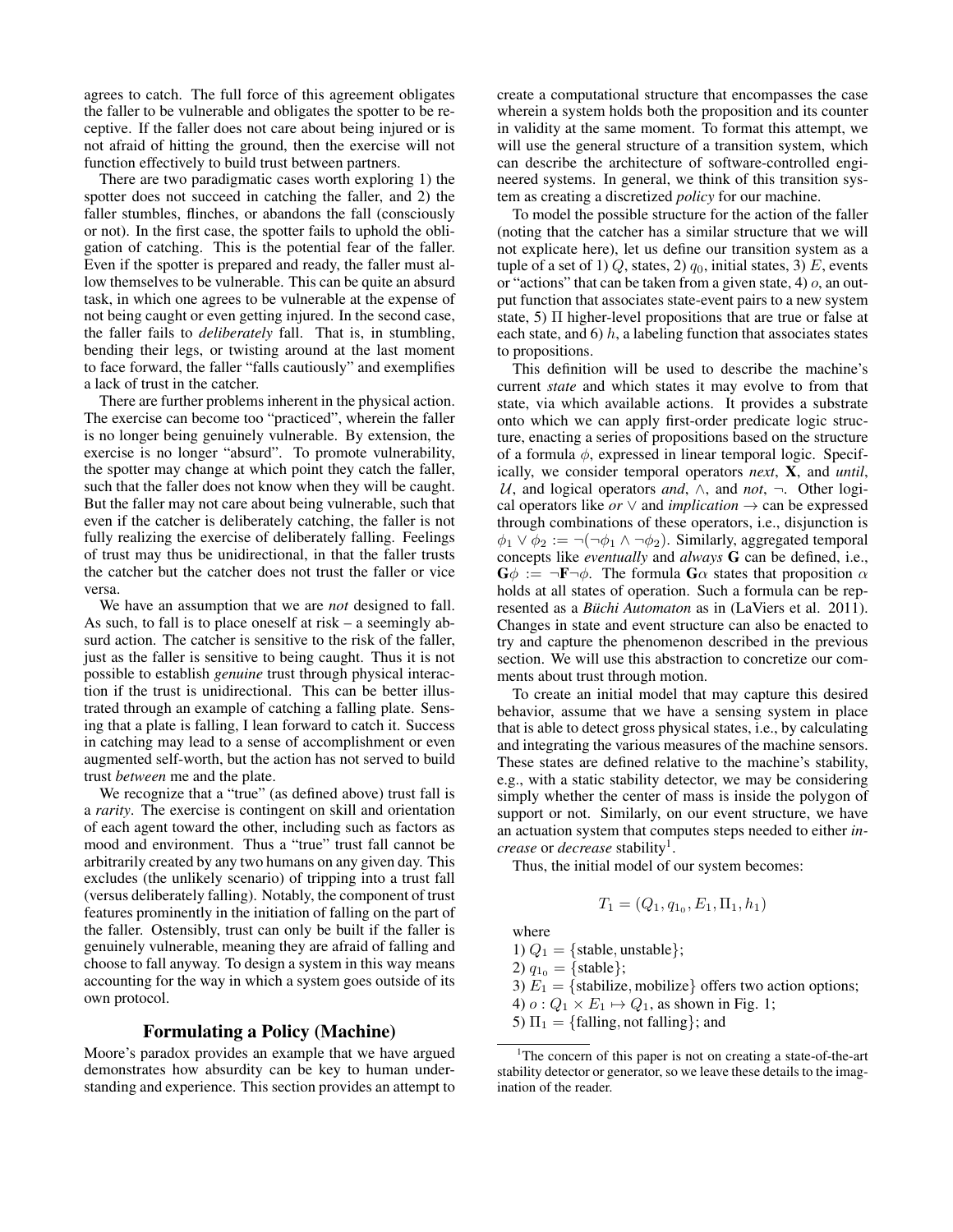agrees to catch. The full force of this agreement obligates the faller to be vulnerable and obligates the spotter to be receptive. If the faller does not care about being injured or is not afraid of hitting the ground, then the exercise will not function effectively to build trust between partners.

There are two paradigmatic cases worth exploring 1) the spotter does not succeed in catching the faller, and 2) the faller stumbles, flinches, or abandons the fall (consciously or not). In the first case, the spotter fails to uphold the obligation of catching. This is the potential fear of the faller. Even if the spotter is prepared and ready, the faller must allow themselves to be vulnerable. This can be quite an absurd task, in which one agrees to be vulnerable at the expense of not being caught or even getting injured. In the second case, the faller fails to *deliberately* fall. That is, in stumbling, bending their legs, or twisting around at the last moment to face forward, the faller "falls cautiously" and exemplifies a lack of trust in the catcher.

There are further problems inherent in the physical action. The exercise can become too "practiced", wherein the faller is no longer being genuinely vulnerable. By extension, the exercise is no longer "absurd". To promote vulnerability, the spotter may change at which point they catch the faller, such that the faller does not know when they will be caught. But the faller may not care about being vulnerable, such that even if the catcher is deliberately catching, the faller is not fully realizing the exercise of deliberately falling. Feelings of trust may thus be unidirectional, in that the faller trusts the catcher but the catcher does not trust the faller or vice versa.

We have an assumption that we are *not* designed to fall. As such, to fall is to place oneself at risk – a seemingly absurd action. The catcher is sensitive to the risk of the faller, just as the faller is sensitive to being caught. Thus it is not possible to establish *genuine* trust through physical interaction if the trust is unidirectional. This can be better illustrated through an example of catching a falling plate. Sensing that a plate is falling, I lean forward to catch it. Success in catching may lead to a sense of accomplishment or even augmented self-worth, but the action has not served to build trust *between* me and the plate.

We recognize that a "true" (as defined above) trust fall is a *rarity*. The exercise is contingent on skill and orientation of each agent toward the other, including such as factors as mood and environment. Thus a "true" trust fall cannot be arbitrarily created by any two humans on any given day. This excludes (the unlikely scenario) of tripping into a trust fall (versus deliberately falling). Notably, the component of trust features prominently in the initiation of falling on the part of the faller. Ostensibly, trust can only be built if the faller is genuinely vulnerable, meaning they are afraid of falling and choose to fall anyway. To design a system in this way means accounting for the way in which a system goes outside of its own protocol.

### Formulating a Policy (Machine)

Moore's paradox provides an example that we have argued demonstrates how absurdity can be key to human understanding and experience. This section provides an attempt to

create a computational structure that encompasses the case wherein a system holds both the proposition and its counter in validity at the same moment. To format this attempt, we will use the general structure of a transition system, which can describe the architecture of software-controlled engineered systems. In general, we think of this transition system as creating a discretized *policy* for our machine.

To model the possible structure for the action of the faller (noting that the catcher has a similar structure that we will not explicate here), let us define our transition system as a tuple of a set of 1)  $Q$ , states, 2)  $q_0$ , initial states, 3) E, events or "actions" that can be taken from a given state,  $4)$  o, an output function that associates state-event pairs to a new system state, 5) Π higher-level propositions that are true or false at each state, and  $6$ ) h, a labeling function that associates states to propositions.

This definition will be used to describe the machine's current *state* and which states it may evolve to from that state, via which available actions. It provides a substrate onto which we can apply first-order predicate logic structure, enacting a series of propositions based on the structure of a formula  $\phi$ , expressed in linear temporal logic. Specifically, we consider temporal operators *next*, X, and *until*, U, and logical operators *and*, ∧, and *not*, ¬. Other logical operators like *or*  $\vee$  and *implication*  $\rightarrow$  can be expressed through combinations of these operators, i.e., disjunction is  $\phi_1 \vee \phi_2 := \neg(\neg \phi_1 \wedge \neg \phi_2)$ . Similarly, aggregated temporal concepts like *eventually* and *always* G can be defined, i.e.,  $\mathbf{G}\phi := \neg \mathbf{F} \neg \phi$ . The formula  $\mathbf{G}\alpha$  states that proposition  $\alpha$ holds at all states of operation. Such a formula can be represented as a *Büchi Automaton* as in (LaViers et al. 2011). Changes in state and event structure can also be enacted to try and capture the phenomenon described in the previous section. We will use this abstraction to concretize our comments about trust through motion.

To create an initial model that may capture this desired behavior, assume that we have a sensing system in place that is able to detect gross physical states, i.e., by calculating and integrating the various measures of the machine sensors. These states are defined relative to the machine's stability, e.g., with a static stability detector, we may be considering simply whether the center of mass is inside the polygon of support or not. Similarly, on our event structure, we have an actuation system that computes steps needed to either *increase* or *decrease* stability<sup>1</sup> .

Thus, the initial model of our system becomes:

$$
T_1 = (Q_1, q_{1_0}, E_1, \Pi_1, h_1)
$$

where

1)  $Q_1 = \{\text{stable}, \text{unstable}\};$ 

2)  $q_{10} = {\text{stable}};$ 

3)  $E_1 = \{$ stabilize, mobilize $\}$  offers two action options;

4)  $o: Q_1 \times E_1 \mapsto Q_1$ , as shown in Fig. 1;

5)  $\Pi_1 = \{\text{falling}, \text{not falling}\};$  and

<sup>&</sup>lt;sup>1</sup>The concern of this paper is not on creating a state-of-the-art stability detector or generator, so we leave these details to the imagination of the reader.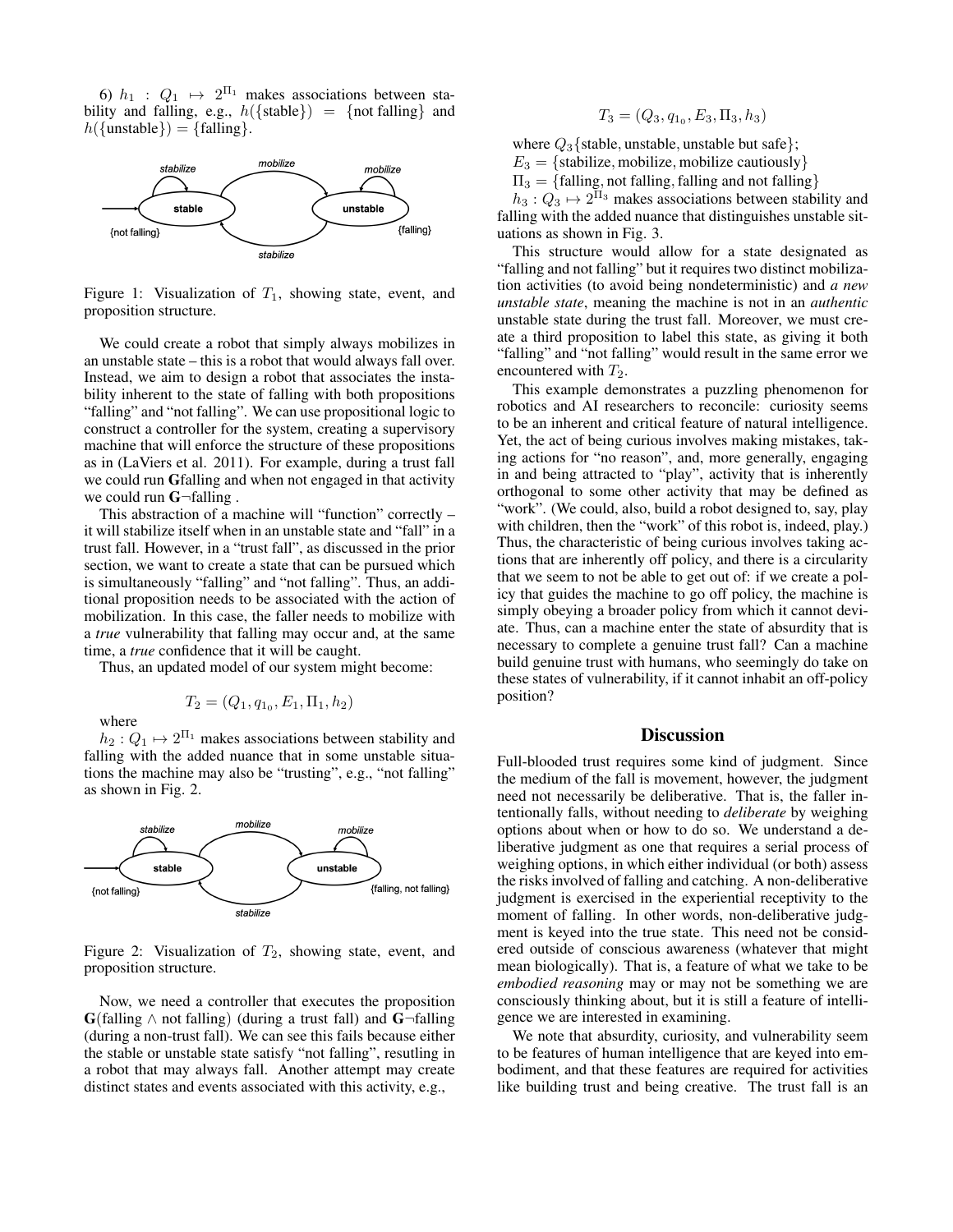6)  $h_1$  :  $Q_1 \mapsto 2^{\Pi_1}$  makes associations between stability and falling, e.g.,  $h({\{\text{stable}\}}) = {\{\text{not falling}\}}$  and  $h({\text{unstable}}) = {\text{falling}}.$ 



Figure 1: Visualization of  $T_1$ , showing state, event, and proposition structure.

We could create a robot that simply always mobilizes in an unstable state – this is a robot that would always fall over. Instead, we aim to design a robot that associates the instability inherent to the state of falling with both propositions "falling" and "not falling". We can use propositional logic to construct a controller for the system, creating a supervisory machine that will enforce the structure of these propositions as in (LaViers et al. 2011). For example, during a trust fall we could run Gfalling and when not engaged in that activity we could run G-falling.

This abstraction of a machine will "function" correctly – it will stabilize itself when in an unstable state and "fall" in a trust fall. However, in a "trust fall", as discussed in the prior section, we want to create a state that can be pursued which is simultaneously "falling" and "not falling". Thus, an additional proposition needs to be associated with the action of mobilization. In this case, the faller needs to mobilize with a *true* vulnerability that falling may occur and, at the same time, a *true* confidence that it will be caught.

Thus, an updated model of our system might become:

$$
T_2 = (Q_1, q_{1_0}, E_1, \Pi_1, h_2)
$$

where

 $h_2: Q_1 \mapsto 2^{\Pi_1}$  makes associations between stability and falling with the added nuance that in some unstable situations the machine may also be "trusting", e.g., "not falling" as shown in Fig. 2.



Figure 2: Visualization of  $T_2$ , showing state, event, and proposition structure.

Now, we need a controller that executes the proposition  $\mathbf{G}$ (falling  $\wedge$  not falling) (during a trust fall) and  $\mathbf{G}$ -falling (during a non-trust fall). We can see this fails because either the stable or unstable state satisfy "not falling", resutling in a robot that may always fall. Another attempt may create distinct states and events associated with this activity, e.g.,

$$
T_3 = (Q_3, q_{1_0}, E_3, \Pi_3, h_3)
$$

where  $Q_3$  {stable, unstable, unstable but safe};  $E_3 = \{$ stabilize, mobilize, mobilize cautiously $\}$  $\Pi_3 = \{\text{falling, not falling, falling and not falling}\}$ 

 $h_3: Q_3 \mapsto 2^{\Pi_3}$  makes associations between stability and falling with the added nuance that distinguishes unstable situations as shown in Fig. 3.

This structure would allow for a state designated as "falling and not falling" but it requires two distinct mobilization activities (to avoid being nondeterministic) and *a new unstable state*, meaning the machine is not in an *authentic* unstable state during the trust fall. Moreover, we must create a third proposition to label this state, as giving it both "falling" and "not falling" would result in the same error we encountered with  $T_2$ .

This example demonstrates a puzzling phenomenon for robotics and AI researchers to reconcile: curiosity seems to be an inherent and critical feature of natural intelligence. Yet, the act of being curious involves making mistakes, taking actions for "no reason", and, more generally, engaging in and being attracted to "play", activity that is inherently orthogonal to some other activity that may be defined as "work". (We could, also, build a robot designed to, say, play with children, then the "work" of this robot is, indeed, play.) Thus, the characteristic of being curious involves taking actions that are inherently off policy, and there is a circularity that we seem to not be able to get out of: if we create a policy that guides the machine to go off policy, the machine is simply obeying a broader policy from which it cannot deviate. Thus, can a machine enter the state of absurdity that is necessary to complete a genuine trust fall? Can a machine build genuine trust with humans, who seemingly do take on these states of vulnerability, if it cannot inhabit an off-policy position?

#### **Discussion**

Full-blooded trust requires some kind of judgment. Since the medium of the fall is movement, however, the judgment need not necessarily be deliberative. That is, the faller intentionally falls, without needing to *deliberate* by weighing options about when or how to do so. We understand a deliberative judgment as one that requires a serial process of weighing options, in which either individual (or both) assess the risks involved of falling and catching. A non-deliberative judgment is exercised in the experiential receptivity to the moment of falling. In other words, non-deliberative judgment is keyed into the true state. This need not be considered outside of conscious awareness (whatever that might mean biologically). That is, a feature of what we take to be *embodied reasoning* may or may not be something we are consciously thinking about, but it is still a feature of intelligence we are interested in examining.

We note that absurdity, curiosity, and vulnerability seem to be features of human intelligence that are keyed into embodiment, and that these features are required for activities like building trust and being creative. The trust fall is an